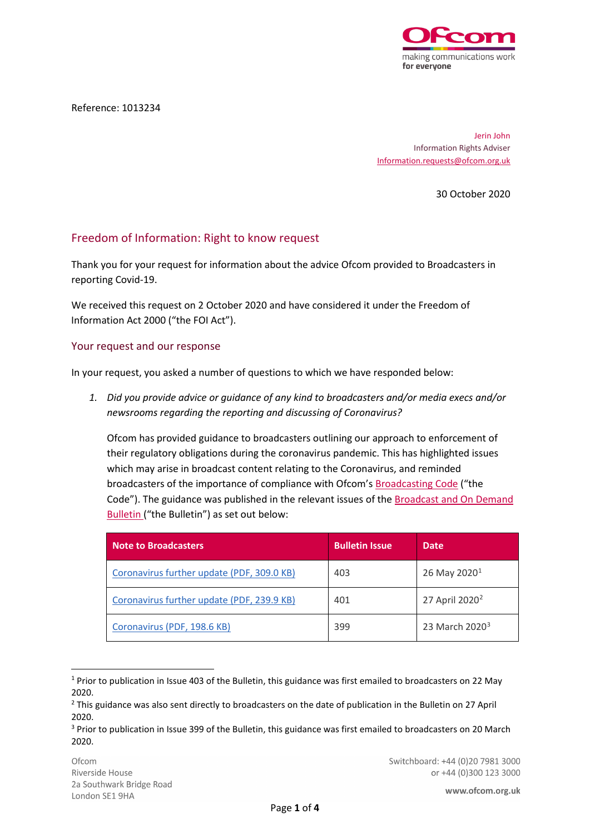

Reference: 1013234

Jerin John Information Rights Adviser [Information.requests@ofcom.org.uk](mailto:Information.requests@ofcom.org.uk)

30 October 2020

## Freedom of Information: Right to know request

Thank you for your request for information about the advice Ofcom provided to Broadcasters in reporting Covid-19.

We received this request on 2 October 2020 and have considered it under the Freedom of Information Act 2000 ("the FOI Act").

## Your request and our response

In your request, you asked a number of questions to which we have responded below:

*1. Did you provide advice or guidance of any kind to broadcasters and/or media execs and/or newsrooms regarding the reporting and discussing of Coronavirus?*

Ofcom has provided guidance to broadcasters outlining our approach to enforcement of their regulatory obligations during the coronavirus pandemic. This has highlighted issues which may arise in broadcast content relating to the Coronavirus, and reminded broadcasters of the importance of compliance with Ofcom'[s Broadcasting Code](https://www.ofcom.org.uk/tv-radio-and-on-demand/broadcast-codes/broadcast-code) ("the Code"). The guidance was published in the relevant issues of the [Broadcast and On Demand](https://www.ofcom.org.uk/about-ofcom/latest/bulletins/broadcast-bulletins)  [Bulletin](https://www.ofcom.org.uk/about-ofcom/latest/bulletins/broadcast-bulletins) ("the Bulletin") as set out below:

| <b>Note to Broadcasters</b>                | <b>Bulletin Issue</b> | <b>Date</b>                |
|--------------------------------------------|-----------------------|----------------------------|
| Coronavirus further update (PDF, 309.0 KB) | 403                   | 26 May 2020 <sup>1</sup>   |
| Coronavirus further update (PDF, 239.9 KB) | 401                   | 27 April 2020 <sup>2</sup> |
| Coronavirus (PDF, 198.6 KB)                | 399                   | 23 March 2020 <sup>3</sup> |

<span id="page-0-0"></span><sup>1</sup> Prior to publication in Issue 403 of the Bulletin, this guidance was first emailed to broadcasters on 22 May 2020.

<span id="page-0-1"></span><sup>&</sup>lt;sup>2</sup> This guidance was also sent directly to broadcasters on the date of publication in the Bulletin on 27 April 2020.

<span id="page-0-2"></span><sup>&</sup>lt;sup>3</sup> Prior to publication in Issue 399 of the Bulletin, this guidance was first emailed to broadcasters on 20 March 2020.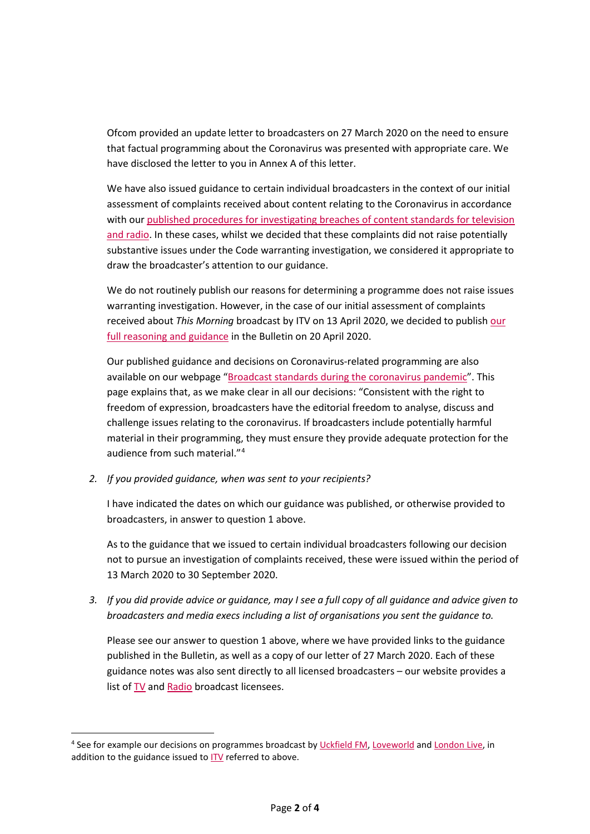Ofcom provided an update letter to broadcasters on 27 March 2020 on the need to ensure that factual programming about the Coronavirus was presented with appropriate care. We have disclosed the letter to you in Annex A of this letter.

We have also issued guidance to certain individual broadcasters in the context of our initial assessment of complaints received about content relating to the Coronavirus in accordance with our [published procedures for investigating breaches of content standards for television](https://www.ofcom.org.uk/__data/assets/pdf_file/0020/55109/breaches-content-standards.pdf)  [and radio.](https://www.ofcom.org.uk/__data/assets/pdf_file/0020/55109/breaches-content-standards.pdf) In these cases, whilst we decided that these complaints did not raise potentially substantive issues under the Code warranting investigation, we considered it appropriate to draw the broadcaster's attention to our guidance.

We do not routinely publish our reasons for determining a programme does not raise issues warranting investigation. However, in the case of our initial assessment of complaints received about *This Morning* broadcast by ITV on 13 April 2020, we decided to publish [our](https://www.ofcom.org.uk/__data/assets/pdf_file/0021/194403/assessment-decision-this-morning-itv-13-apr-2020.pdf) [full reasoning and guidance](https://www.ofcom.org.uk/__data/assets/pdf_file/0021/194403/assessment-decision-this-morning-itv-13-apr-2020.pdf) in the Bulletin on 20 April 2020.

Our published guidance and decisions on Coronavirus-related programming are also available on our webpage ["Broadcast standards during the coronavirus pandemic"](https://www.ofcom.org.uk/tv-radio-and-on-demand/information-for-industry/guidance/broadcast-standards-and-coronavirus). This page explains that, as we make clear in all our decisions: "Consistent with the right to freedom of expression, broadcasters have the editorial freedom to analyse, discuss and challenge issues relating to the coronavirus. If broadcasters include potentially harmful material in their programming, they must ensure they provide adequate protection for the audience from such material."[4](#page-1-0)

*2. If you provided guidance, when was sent to your recipients?*

I have indicated the dates on which our guidance was published, or otherwise provided to broadcasters, in answer to question 1 above.

As to the guidance that we issued to certain individual broadcasters following our decision not to pursue an investigation of complaints received, these were issued within the period of 13 March 2020 to 30 September 2020.

*3. If you did provide advice or guidance, may I see a full copy of all guidance and advice given to broadcasters and media execs including a list of organisations you sent the guidance to.*

Please see our answer to question 1 above, where we have provided links to the guidance published in the Bulletin, as well as a copy of our letter of 27 March 2020. Each of these guidance notes was also sent directly to all licensed broadcasters – our website provides a list of [TV](https://www.ofcom.org.uk/manage-your-licence/tv-broadcast-licences/current-licensees) an[d Radio](https://www.ofcom.org.uk/manage-your-licence/radio-broadcast-licensing/look-up-radio-station-details) broadcast licensees.

<span id="page-1-0"></span><sup>4</sup> See for example our decisions on programmes broadcast by [Uckfield FM,](https://www.ofcom.org.uk/about-ofcom/latest/bulletins/content-sanctions-adjudications/decision-uckfield-community-radio-limited) [Loveworld](https://www.ofcom.org.uk/about-ofcom/latest/bulletins/content-sanctions-adjudications/decision-loveworld-limited) and [London Live,](https://www.ofcom.org.uk/about-ofcom/latest/bulletins/content-sanctions-adjudications/decision-estv-limited) in addition to the guidance issued t[o ITV](https://www.ofcom.org.uk/__data/assets/pdf_file/0021/194403/assessment-decision-this-morning-itv-13-apr-2020.pdf) referred to above.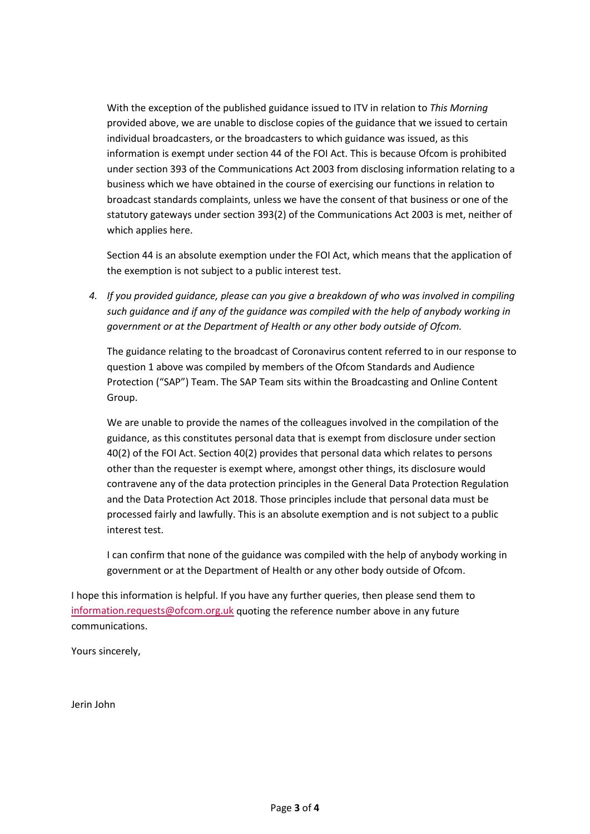With the exception of the published guidance issued to ITV in relation to *This Morning* provided above, we are unable to disclose copies of the guidance that we issued to certain individual broadcasters, or the broadcasters to which guidance was issued, as this information is exempt under section 44 of the FOI Act. This is because Ofcom is prohibited under section 393 of the Communications Act 2003 from disclosing information relating to a business which we have obtained in the course of exercising our functions in relation to broadcast standards complaints, unless we have the consent of that business or one of the statutory gateways under section 393(2) of the Communications Act 2003 is met, neither of which applies here.

Section 44 is an absolute exemption under the FOI Act, which means that the application of the exemption is not subject to a public interest test.

*4. If you provided guidance, please can you give a breakdown of who was involved in compiling such guidance and if any of the guidance was compiled with the help of anybody working in government or at the Department of Health or any other body outside of Ofcom.*

The guidance relating to the broadcast of Coronavirus content referred to in our response to question 1 above was compiled by members of the Ofcom Standards and Audience Protection ("SAP") Team. The SAP Team sits within the Broadcasting and Online Content Group.

We are unable to provide the names of the colleagues involved in the compilation of the guidance, as this constitutes personal data that is exempt from disclosure under section 40(2) of the FOI Act. Section 40(2) provides that personal data which relates to persons other than the requester is exempt where, amongst other things, its disclosure would contravene any of the data protection principles in the General Data Protection Regulation and the Data Protection Act 2018. Those principles include that personal data must be processed fairly and lawfully. This is an absolute exemption and is not subject to a public interest test.

I can confirm that none of the guidance was compiled with the help of anybody working in government or at the Department of Health or any other body outside of Ofcom.

I hope this information is helpful. If you have any further queries, then please send them to [information.requests@ofcom.org.uk](mailto:information.requests@ofcom.org.uk) quoting the reference number above in any future communications.

Yours sincerely,

Jerin John